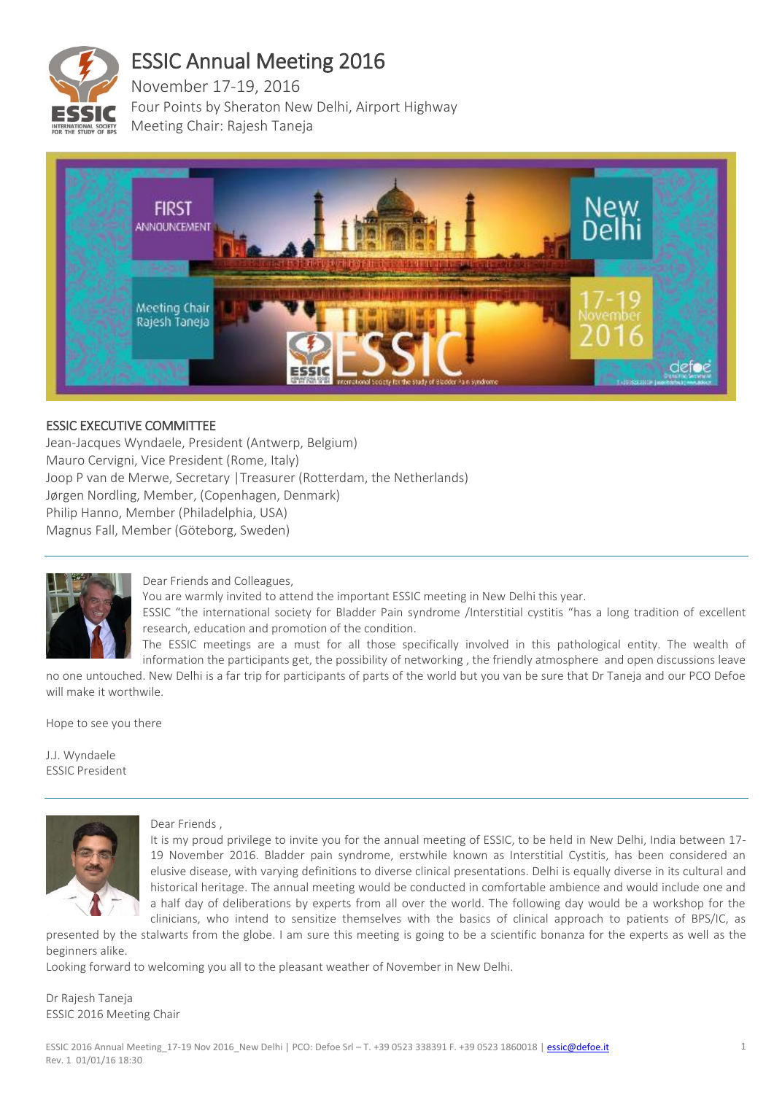

# ESSIC Annual Meeting 2016

November 17-19, 2016 Four Points by Sheraton New Delhi, Airport Highway Meeting Chair: Rajesh Taneja



# ESSIC EXECUTIVE COMMITTEE

Jean-Jacques Wyndaele, President (Antwerp, Belgium) Mauro Cervigni, Vice President (Rome, Italy) Joop P van de Merwe, Secretary |Treasurer (Rotterdam, the Netherlands) Jørgen Nordling, Member, (Copenhagen, Denmark) Philip Hanno, Member (Philadelphia, USA) Magnus Fall, Member (Göteborg, Sweden)



# Dear Friends and Colleagues,

You are warmly invited to attend the important ESSIC meeting in New Delhi this year.

ESSIC "the international society for Bladder Pain syndrome /Interstitial cystitis "has a long tradition of excellent research, education and promotion of the condition.

The ESSIC meetings are a must for all those specifically involved in this pathological entity. The wealth of information the participants get, the possibility of networking , the friendly atmosphere and open discussions leave

no one untouched. New Delhi is a far trip for participants of parts of the world but you van be sure that Dr Taneja and our PCO Defoe will make it worthwile.

Hope to see you there

J.J. Wyndaele ESSIC President



#### Dear Friends ,

It is my proud privilege to invite you for the annual meeting of ESSIC, to be held in New Delhi, India between 17- 19 November 2016. Bladder pain syndrome, erstwhile known as Interstitial Cystitis, has been considered an elusive disease, with varying definitions to diverse clinical presentations. Delhi is equally diverse in its cultural and historical heritage. The annual meeting would be conducted in comfortable ambience and would include one and a half day of deliberations by experts from all over the world. The following day would be a workshop for the clinicians, who intend to sensitize themselves with the basics of clinical approach to patients of BPS/IC, as

presented by the stalwarts from the globe. I am sure this meeting is going to be a scientific bonanza for the experts as well as the beginners alike.

Looking forward to welcoming you all to the pleasant weather of November in New Delhi.

Dr Rajesh Taneja ESSIC 2016 Meeting Chair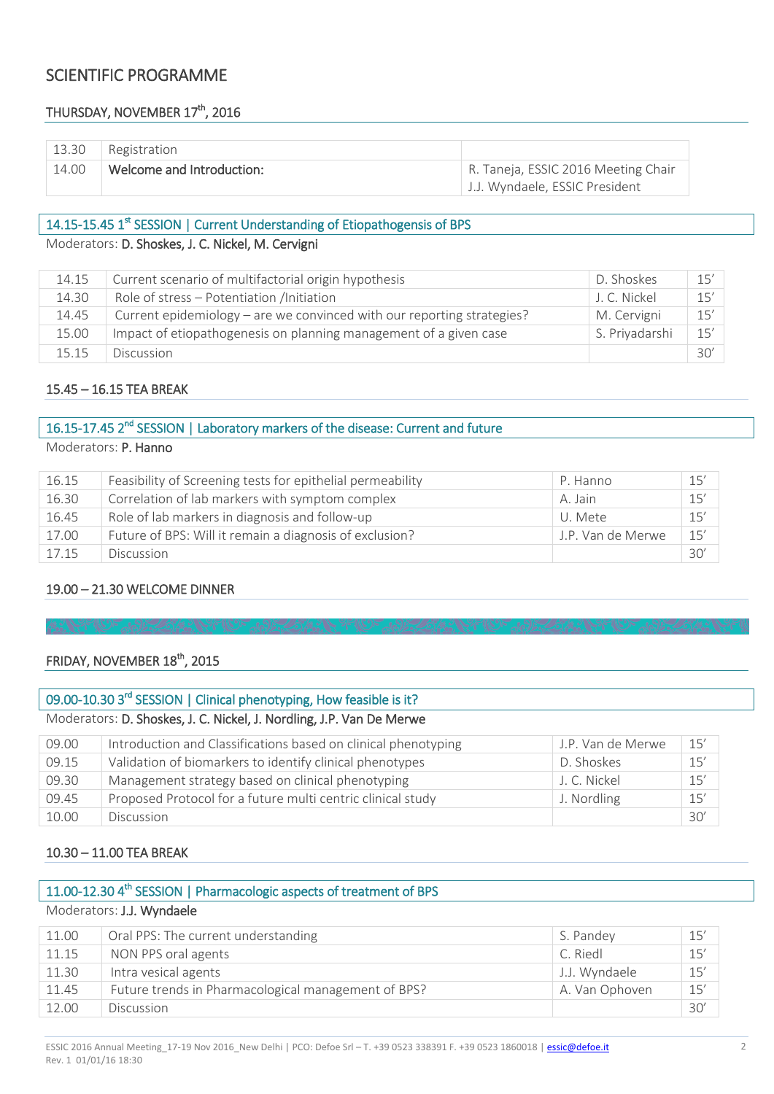# SCIENTIFIC PROGRAMME

# THURSDAY, NOVEMBER 17<sup>th</sup>, 2016

| 13.30 | Registration              |                                     |
|-------|---------------------------|-------------------------------------|
| 14.00 | Welcome and Introduction: | R. Taneja, ESSIC 2016 Meeting Chair |
|       |                           | J.J. Wyndaele, ESSIC President      |

# 14.15-15.45 1<sup>st</sup> SESSION | Current Understanding of Etiopathogensis of BPS

# Moderators: D. Shoskes, J. C. Nickel, M. Cervigni

| 14.15 | Current scenario of multifactorial origin hypothesis                   | D. Shoskes     | 15' |
|-------|------------------------------------------------------------------------|----------------|-----|
| 14.30 | Role of stress - Potentiation /Initiation                              | J. C. Nickel   | 15' |
| 14.45 | Current epidemiology – are we convinced with our reporting strategies? | M. Cervigni    | 15' |
| 15.00 | Impact of etiopathogenesis on planning management of a given case      | S. Priyadarshi | 15' |
| 15.15 | <b>Discussion</b>                                                      |                | 30' |

#### 15.45 – 16.15 TEA BREAK

# 16.15-17.45 2<sup>nd</sup> SESSION | Laboratory markers of the disease: Current and future Moderators: P. Hanno

| 16.15 | Feasibility of Screening tests for epithelial permeability | P. Hanno          | 15' |
|-------|------------------------------------------------------------|-------------------|-----|
| 16.30 | Correlation of lab markers with symptom complex            | A. Jain           | 15' |
| 16.45 | Role of lab markers in diagnosis and follow-up             | U. Mete           | 15' |
| 17.00 | Future of BPS: Will it remain a diagnosis of exclusion?    | J.P. Van de Merwe | 15' |
| 17.15 | <b>Discussion</b>                                          |                   | 30' |

#### 19.00 – 21.30 WELCOME DINNER

# FRIDAY, NOVEMBER 18<sup>th</sup>, 2015

# 09.00-10.30 3<sup>rd</sup> SESSION | Clinical phenotyping, How feasible is it? Moderators: D. Shoskes, J. C. Nickel, J. Nordling, J.P. Van De Merwe

| 09.00 | Introduction and Classifications based on clinical phenotyping | J.P. Van de Merwe | 15' |
|-------|----------------------------------------------------------------|-------------------|-----|
| 09.15 | Validation of biomarkers to identify clinical phenotypes       | D. Shoskes        | 15' |
| 09.30 | Management strategy based on clinical phenotyping              | J. C. Nickel      | 15' |
| 09.45 | Proposed Protocol for a future multi centric clinical study    | J. Nordling       | 15' |
| 10.00 | <b>Discussion</b>                                              |                   | 30' |

# 10.30 – 11.00 TEA BREAK

# 11.00-12.30 4<sup>th</sup> SESSION | Pharmacologic aspects of treatment of BPS

Moderators: J.J. Wyndaele

| 11.00 | Oral PPS: The current understanding                 | S. Pandey      | 15' |
|-------|-----------------------------------------------------|----------------|-----|
| 11.15 | NON PPS oral agents                                 | C. Riedl       | 15' |
| 11.30 | Intra vesical agents                                | J.J. Wyndaele  | 15' |
| 11.45 | Future trends in Pharmacological management of BPS? | A. Van Ophoven | 15' |
| 12.00 | <b>Discussion</b>                                   |                | 30' |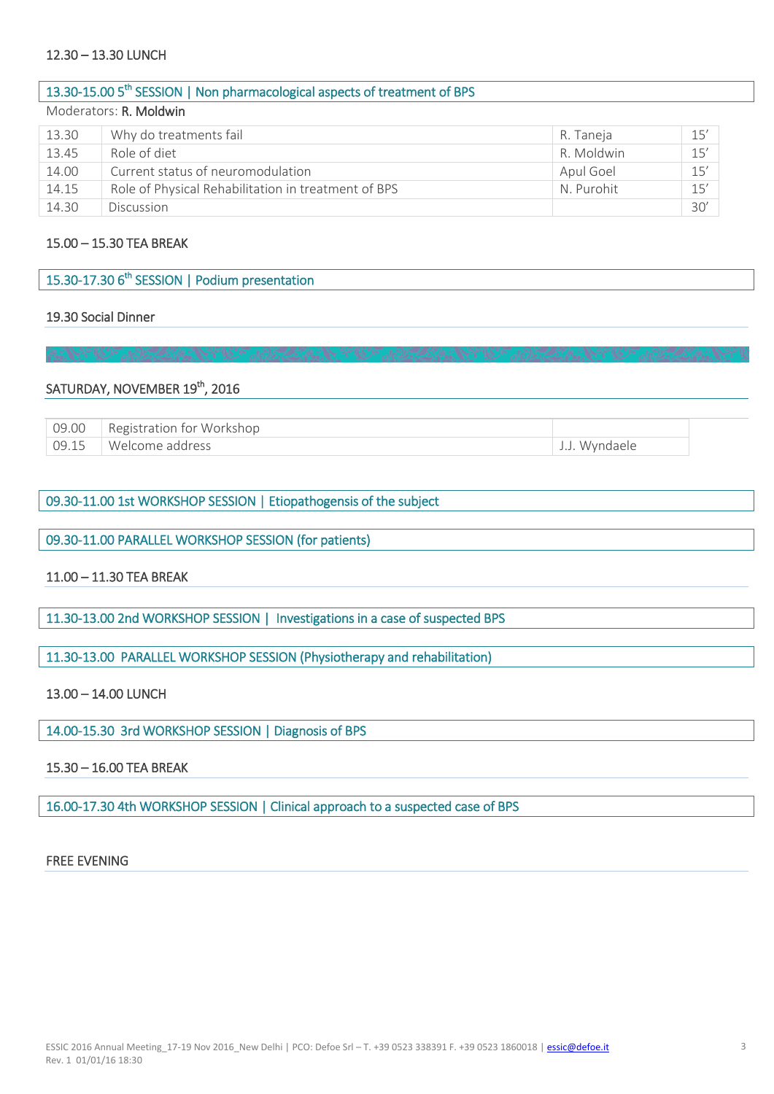## 12.30 – 13.30 LUNCH

| 13.30-15.00 5 <sup>th</sup> SESSION   Non pharmacological aspects of treatment of BPS |                                                     |            |     |
|---------------------------------------------------------------------------------------|-----------------------------------------------------|------------|-----|
|                                                                                       | Moderators: R. Moldwin                              |            |     |
| 13.30                                                                                 | Why do treatments fail                              | R. Taneja  | 15' |
| 13.45                                                                                 | Role of diet                                        | R. Moldwin | 15' |
| 14.00                                                                                 | Current status of neuromodulation                   | Apul Goel  | 15' |
| 14.15                                                                                 | Role of Physical Rehabilitation in treatment of BPS | N. Purohit | 15' |

14.30 Discussion 30'

#### 15.00 – 15.30 TEA BREAK

#### 19.30 Social Dinner

# SATURDAY, NOVEMBER 19th, 2016

| 09.00   Registration for Workshop |               |
|-----------------------------------|---------------|
| 09.15   Welcome address           | J.J. Wyndaele |

#### 09.30-11.00 1st WORKSHOP SESSION | Etiopathogensis of the subject

# 09.30-11.00 PARALLEL WORKSHOP SESSION (for patients)

#### 11.00 – 11.30 TEA BREAK

11.30-13.00 2nd WORKSHOP SESSION | Investigations in a case of suspected BPS

11.30-13.00 PARALLEL WORKSHOP SESSION (Physiotherapy and rehabilitation)

# 13.00 – 14.00 LUNCH

14.00-15.30 3rd WORKSHOP SESSION | Diagnosis of BPS

# 15.30 – 16.00 TEA BREAK

16.00-17.30 4th WORKSHOP SESSION | Clinical approach to a suspected case of BPS

# FREE EVENING

l